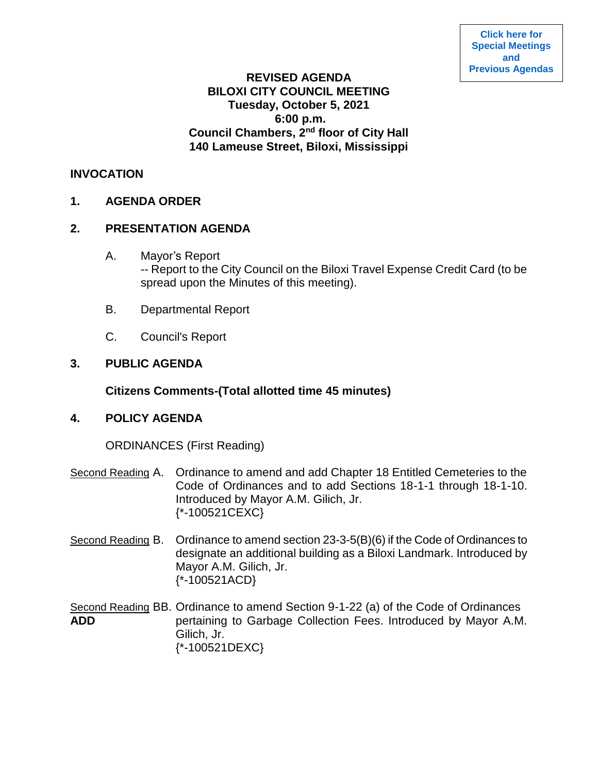## **REVISED AGENDA BILOXI CITY COUNCIL MEETING Tuesday, October 5, 2021 6:00 p.m. Council Chambers, 2nd floor of City Hall 140 Lameuse Street, Biloxi, Mississippi**

# **INVOCATION**

# **1. AGENDA ORDER**

# **2. PRESENTATION AGENDA**

- A. Mayor's Report -- Report to the City Council on the Biloxi Travel Expense Credit Card (to be spread upon the Minutes of this meeting).
- B. Departmental Report
- C. Council's Report

# **3. PUBLIC AGENDA**

## **Citizens Comments-(Total allotted time 45 minutes)**

# **4. POLICY AGENDA**

ORDINANCES (First Reading)

- Second Reading A. Ordinance to amend and add Chapter 18 Entitled Cemeteries to the Code of Ordinances and to add Sections 18-1-1 through 18-1-10. Introduced by Mayor A.M. Gilich, Jr. {\*-100521CEXC}
- Second Reading B. Ordinance to amend section 23-3-5(B)(6) if the Code of Ordinances to designate an additional building as a Biloxi Landmark. Introduced by Mayor A.M. Gilich, Jr. {\*-100521ACD}
- Second Reading BB. Ordinance to amend Section 9-1-22 (a) of the Code of Ordinances ADD **AUD** pertaining to Garbage Collection Fees. Introduced by Mayor A.M. Gilich, Jr. {\*-100521DEXC}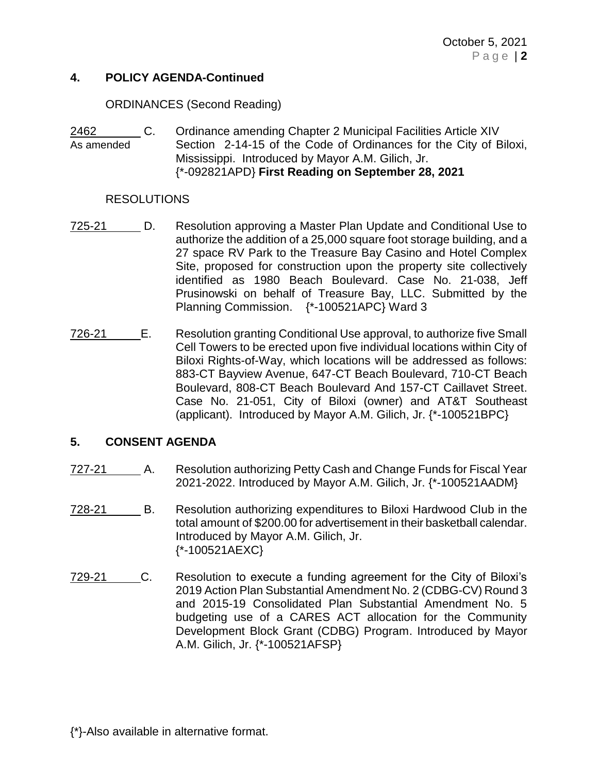## **4. POLICY AGENDA-Continued**

ORDINANCES (Second Reading)

2462 C. Ordinance amending Chapter 2 Municipal Facilities Article XIV As amended Section 2-14-15 of the Code of Ordinances for the City of Biloxi, Mississippi. Introduced by Mayor A.M. Gilich, Jr. {\*-092821APD} **First Reading on September 28, 2021**

#### RESOLUTIONS

- 725-21 D. Resolution approving a Master Plan Update and Conditional Use to authorize the addition of a 25,000 square foot storage building, and a 27 space RV Park to the Treasure Bay Casino and Hotel Complex Site, proposed for construction upon the property site collectively identified as 1980 Beach Boulevard. Case No. 21-038, Jeff Prusinowski on behalf of Treasure Bay, LLC. Submitted by the Planning Commission. {\*-100521APC} Ward 3
- 726-21 E. Resolution granting Conditional Use approval, to authorize five Small Cell Towers to be erected upon five individual locations within City of Biloxi Rights-of-Way, which locations will be addressed as follows: 883-CT Bayview Avenue, 647-CT Beach Boulevard, 710-CT Beach Boulevard, 808-CT Beach Boulevard And 157-CT Caillavet Street. Case No. 21-051, City of Biloxi (owner) and AT&T Southeast (applicant). Introduced by Mayor A.M. Gilich, Jr. {\*-100521BPC}

## **5. CONSENT AGENDA**

- 727-21 A. Resolution authorizing Petty Cash and Change Funds for Fiscal Year 2021-2022. Introduced by Mayor A.M. Gilich, Jr. {\*-100521AADM}
- 728-21 B. Resolution authorizing expenditures to Biloxi Hardwood Club in the total amount of \$200.00 for advertisement in their basketball calendar. Introduced by Mayor A.M. Gilich, Jr. {\*-100521AEXC}
- 729-21 C. Resolution to execute a funding agreement for the City of Biloxi's 2019 Action Plan Substantial Amendment No. 2 (CDBG-CV) Round 3 and 2015-19 Consolidated Plan Substantial Amendment No. 5 budgeting use of a CARES ACT allocation for the Community Development Block Grant (CDBG) Program. Introduced by Mayor A.M. Gilich, Jr. {\*-100521AFSP}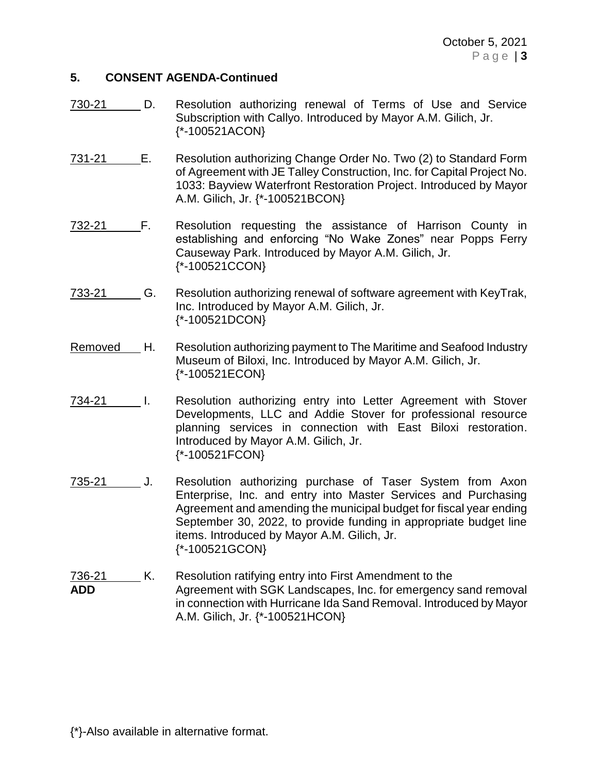## **5. CONSENT AGENDA-Continued**

- 730-21 D. Resolution authorizing renewal of Terms of Use and Service Subscription with Callyo. Introduced by Mayor A.M. Gilich, Jr. {\*-100521ACON}
- 731-21 E. Resolution authorizing Change Order No. Two (2) to Standard Form of Agreement with JE Talley Construction, Inc. for Capital Project No. 1033: Bayview Waterfront Restoration Project. Introduced by Mayor A.M. Gilich, Jr. {\*-100521BCON}
- 732-21 F. Resolution requesting the assistance of Harrison County in establishing and enforcing "No Wake Zones" near Popps Ferry Causeway Park. Introduced by Mayor A.M. Gilich, Jr. {\*-100521CCON}
- 733-21 G. Resolution authorizing renewal of software agreement with KeyTrak, Inc. Introduced by Mayor A.M. Gilich, Jr. {\*-100521DCON}
- Removed H. Resolution authorizing payment to The Maritime and Seafood Industry Museum of Biloxi, Inc. Introduced by Mayor A.M. Gilich, Jr. {\*-100521ECON}
- 734-21 I. Resolution authorizing entry into Letter Agreement with Stover Developments, LLC and Addie Stover for professional resource planning services in connection with East Biloxi restoration. Introduced by Mayor A.M. Gilich, Jr. {\*-100521FCON}
- 735-21 J. Resolution authorizing purchase of Taser System from Axon Enterprise, Inc. and entry into Master Services and Purchasing Agreement and amending the municipal budget for fiscal year ending September 30, 2022, to provide funding in appropriate budget line items. Introduced by Mayor A.M. Gilich, Jr. {\*-100521GCON}
- 736-21 K. Resolution ratifying entry into First Amendment to the **ADD** Agreement with SGK Landscapes, Inc. for emergency sand removal in connection with Hurricane Ida Sand Removal. Introduced by Mayor A.M. Gilich, Jr. {\*-100521HCON}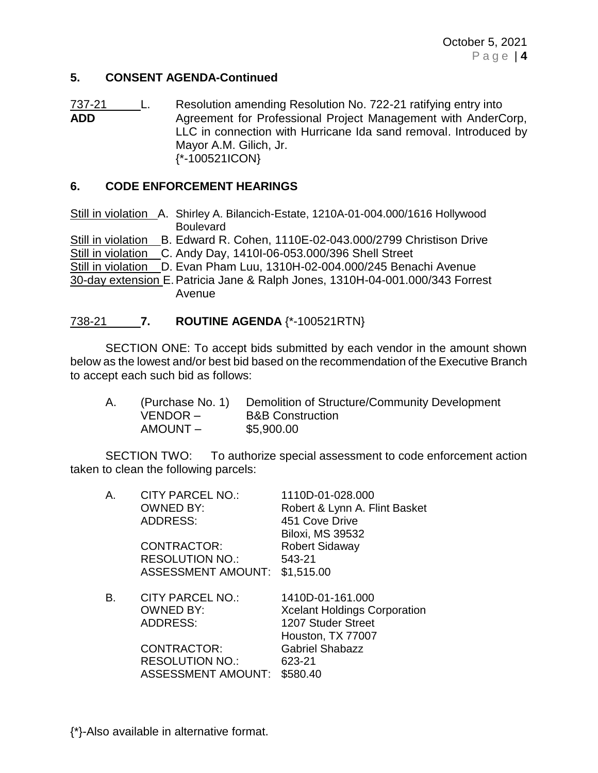# **5. CONSENT AGENDA-Continued**

737-21 L. Resolution amending Resolution No. 722-21 ratifying entry into ADD **Agreement for Professional Project Management with AnderCorp,** LLC in connection with Hurricane Ida sand removal. Introduced by Mayor A.M. Gilich, Jr. {\*-100521ICON}

## **6. CODE ENFORCEMENT HEARINGS**

Still in violation A. Shirley A. Bilancich-Estate, 1210A-01-004.000/1616 Hollywood **Boulevard** Still in violation B. Edward R. Cohen, 1110E-02-043.000/2799 Christison Drive Still in violation C. Andy Day, 1410I-06-053.000/396 Shell Street Still in violation D. Evan Pham Luu, 1310H-02-004.000/245 Benachi Avenue 30-day extension E.Patricia Jane & Ralph Jones, 1310H-04-001.000/343 Forrest Avenue

# 738-21 **7. ROUTINE AGENDA** {\*-100521RTN}

SECTION ONE: To accept bids submitted by each vendor in the amount shown below as the lowest and/or best bid based on the recommendation of the Executive Branch to accept each such bid as follows:

| Α. |          | (Purchase No. 1) Demolition of Structure/Community Development |
|----|----------|----------------------------------------------------------------|
|    | VENDOR – | <b>B&amp;B Construction</b>                                    |
|    | AMOUNT – | \$5,900.00                                                     |

SECTION TWO: To authorize special assessment to code enforcement action taken to clean the following parcels:

| А. | <b>CITY PARCEL NO.:</b><br><b>OWNED BY:</b><br><b>ADDRESS:</b><br>CONTRACTOR:<br><b>RESOLUTION NO.:</b><br><b>ASSESSMENT AMOUNT:</b>        | 1110D-01-028.000<br>Robert & Lynn A. Flint Basket<br>451 Cove Drive<br><b>Biloxi, MS 39532</b><br><b>Robert Sidaway</b><br>543-21<br>\$1,515.00    |
|----|---------------------------------------------------------------------------------------------------------------------------------------------|----------------------------------------------------------------------------------------------------------------------------------------------------|
| В. | <b>CITY PARCEL NO.:</b><br><b>OWNED BY:</b><br><b>ADDRESS:</b><br><b>CONTRACTOR:</b><br><b>RESOLUTION NO.:</b><br><b>ASSESSMENT AMOUNT:</b> | 1410D-01-161.000<br><b>Xcelant Holdings Corporation</b><br>1207 Studer Street<br>Houston, TX 77007<br><b>Gabriel Shabazz</b><br>623-21<br>\$580.40 |

{\*}-Also available in alternative format.